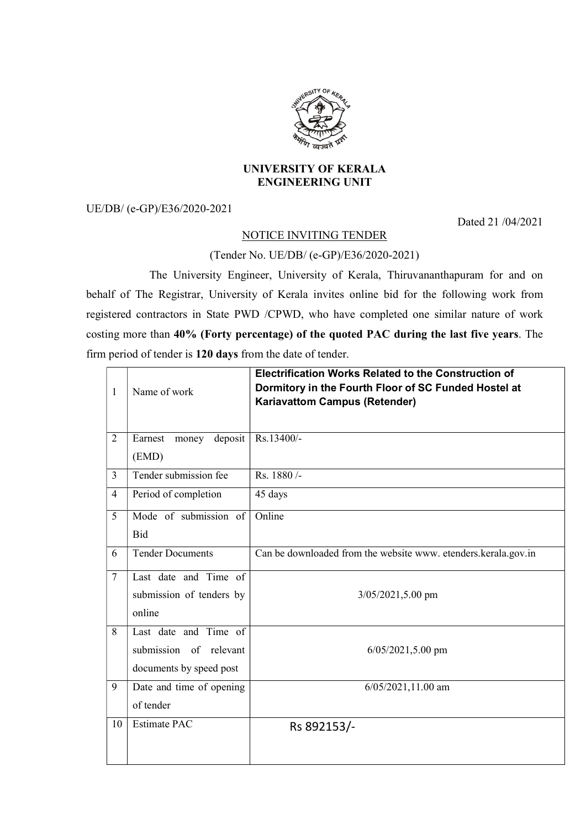

## UNIVERSITY OF KERALA ENGINEERING UNIT

UE/DB/ (e-GP)/E36/2020-2021

Dated 21 /04/2021

## NOTICE INVITING TENDER

## (Tender No. UE/DB/ (e-GP)/E36/2020-2021)

 The University Engineer, University of Kerala, Thiruvananthapuram for and on behalf of The Registrar, University of Kerala invites online bid for the following work from registered contractors in State PWD /CPWD, who have completed one similar nature of work costing more than 40% (Forty percentage) of the quoted PAC during the last five years. The firm period of tender is 120 days from the date of tender.

| 1              | Name of work             | <b>Electrification Works Related to the Construction of</b><br>Dormitory in the Fourth Floor of SC Funded Hostel at<br><b>Kariavattom Campus (Retender)</b> |
|----------------|--------------------------|-------------------------------------------------------------------------------------------------------------------------------------------------------------|
| $\overline{2}$ | money deposit<br>Earnest | Rs.13400/-                                                                                                                                                  |
|                | (EMD)                    |                                                                                                                                                             |
| $\overline{3}$ | Tender submission fee    | Rs. 1880/-                                                                                                                                                  |
| $\overline{4}$ | Period of completion     | 45 days                                                                                                                                                     |
| 5              | Mode of submission of    | Online                                                                                                                                                      |
|                | <b>Bid</b>               |                                                                                                                                                             |
| 6              | <b>Tender Documents</b>  | Can be downloaded from the website www. etenders.kerala.gov.in                                                                                              |
| $\overline{7}$ | Last date and Time of    |                                                                                                                                                             |
|                | submission of tenders by | 3/05/2021,5.00 pm                                                                                                                                           |
|                | online                   |                                                                                                                                                             |
| 8              | Last date and Time of    |                                                                                                                                                             |
|                | submission of relevant   | $6/05/2021,5.00$ pm                                                                                                                                         |
|                | documents by speed post  |                                                                                                                                                             |
| 9              | Date and time of opening | $6/05/2021, 11.00$ am                                                                                                                                       |
|                | of tender                |                                                                                                                                                             |
| 10             | <b>Estimate PAC</b>      | Rs 892153/-                                                                                                                                                 |
|                |                          |                                                                                                                                                             |